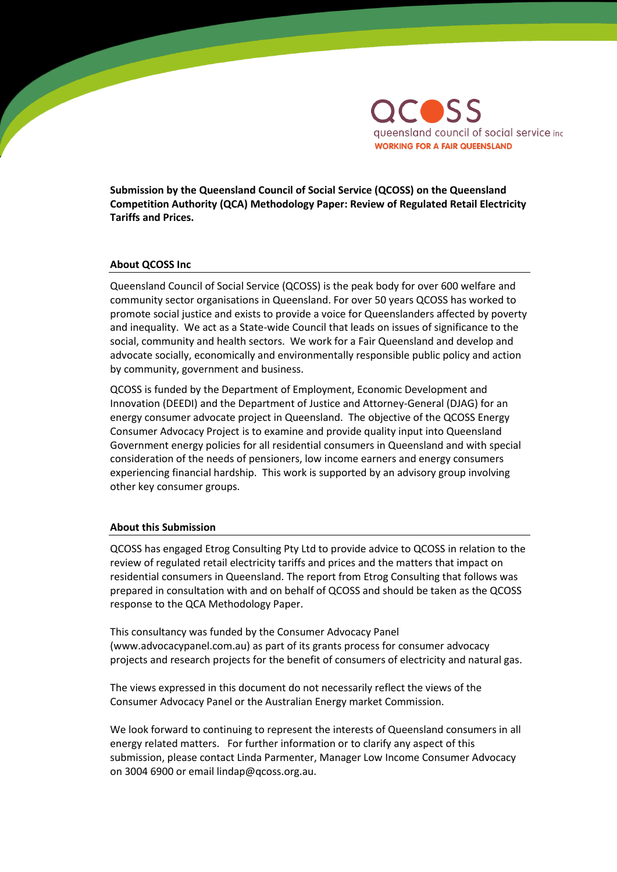

**Submission by the Queensland Council of Social Service (QCOSS) on the Queensland Competition Authority (QCA) Methodology Paper: Review of Regulated Retail Electricity Tariffs and Prices.** 

#### **About QCOSS Inc**

Queensland Council of Social Service (QCOSS) is the peak body for over 600 welfare and community sector organisations in Queensland. For over 50 years QCOSS has worked to promote social justice and exists to provide a voice for Queenslanders affected by poverty and inequality. We act as a State-wide Council that leads on issues of significance to the social, community and health sectors. We work for a Fair Queensland and develop and advocate socially, economically and environmentally responsible public policy and action by community, government and business.

QCOSS is funded by the Department of Employment, Economic Development and Innovation (DEEDI) and the Department of Justice and Attorney-General (DJAG) for an energy consumer advocate project in Queensland. The objective of the QCOSS Energy Consumer Advocacy Project is to examine and provide quality input into Queensland Government energy policies for all residential consumers in Queensland and with special consideration of the needs of pensioners, low income earners and energy consumers experiencing financial hardship. This work is supported by an advisory group involving other key consumer groups.

#### **About this Submission**

QCOSS has engaged Etrog Consulting Pty Ltd to provide advice to QCOSS in relation to the review of regulated retail electricity tariffs and prices and the matters that impact on residential consumers in Queensland. The report from Etrog Consulting that follows was prepared in consultation with and on behalf of QCOSS and should be taken as the QCOSS response to the QCA Methodology Paper.

This consultancy was funded by the Consumer Advocacy Panel (www.advocacypanel.com.au) as part of its grants process for consumer advocacy projects and research projects for the benefit of consumers of electricity and natural gas.

The views expressed in this document do not necessarily reflect the views of the Consumer Advocacy Panel or the Australian Energy market Commission.

We look forward to continuing to represent the interests of Queensland consumers in all energy related matters. For further information or to clarify any aspect of this submission, please contact Linda Parmenter, Manager Low Income Consumer Advocacy on 3004 6900 or email lindap@qcoss.org.au.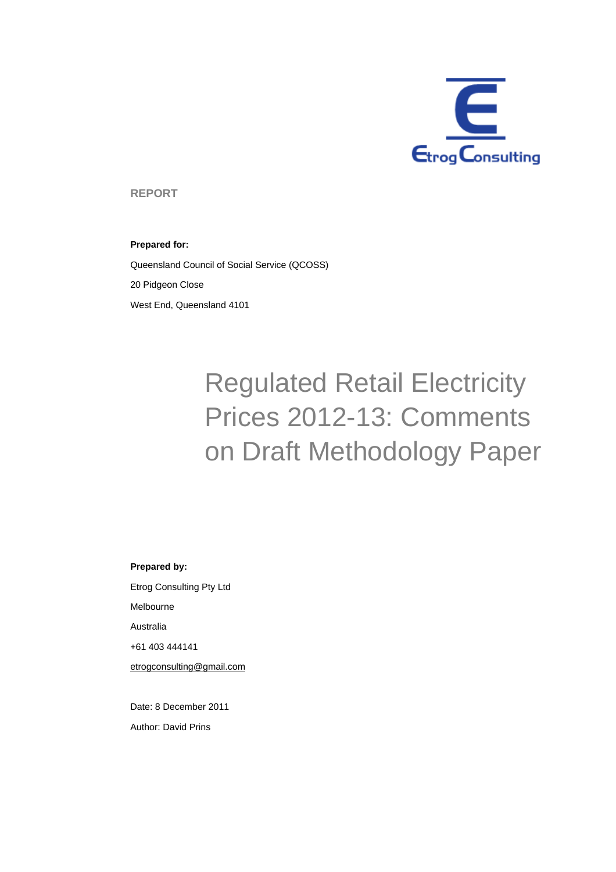

**REPORT** 

#### **Prepared for:**

Queensland Council of Social Service (QCOSS) 20 Pidgeon Close West End, Queensland 4101

# Regulated Retail Electricity Prices 2012-13: Comments on Draft Methodology Paper

#### **Prepared by:**

Etrog Consulting Pty Ltd Melbourne Australia +61 403 444141 etrogconsulting@gmail.com

Date: 8 December 2011 Author: David Prins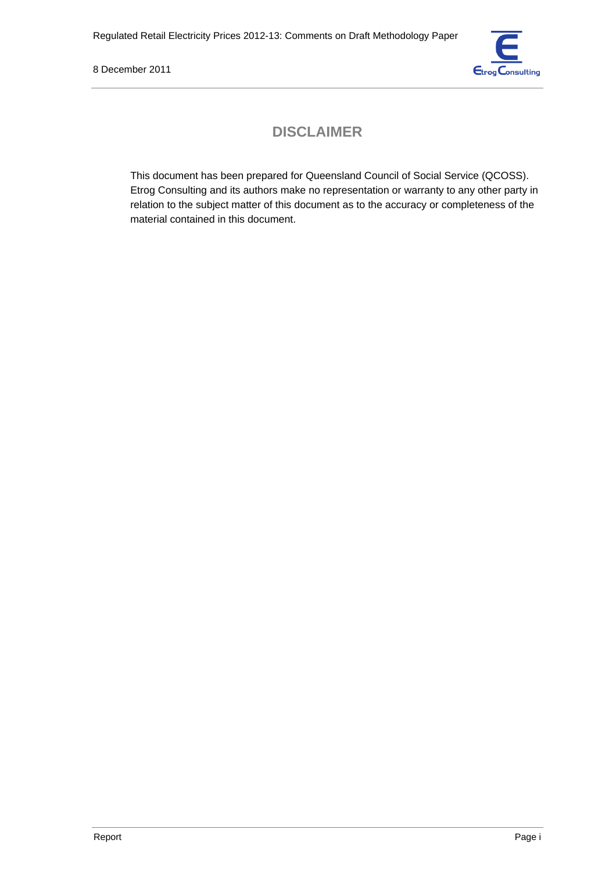

# **DISCLAIMER**

This document has been prepared for Queensland Council of Social Service (QCOSS). Etrog Consulting and its authors make no representation or warranty to any other party in relation to the subject matter of this document as to the accuracy or completeness of the material contained in this document.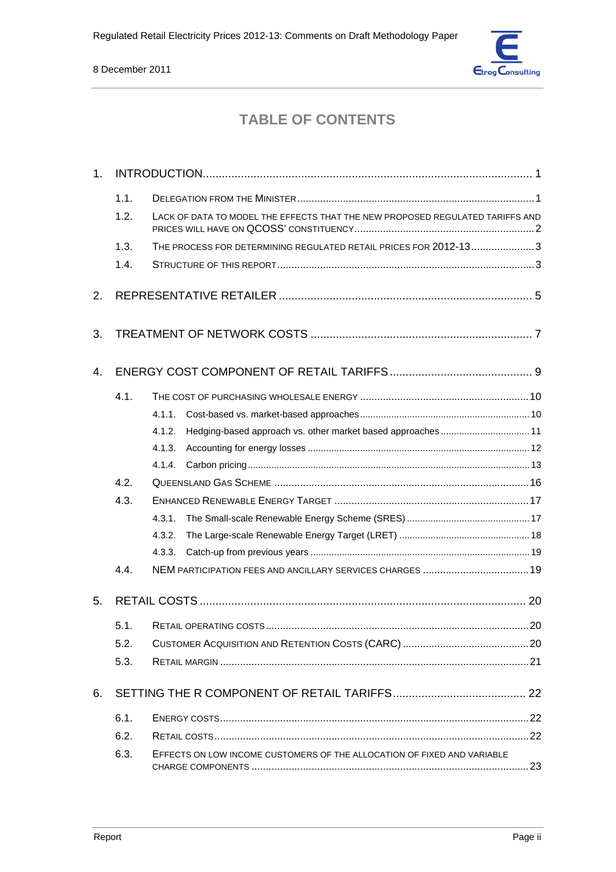

# **TABLE OF CONTENTS**

| 1.             |      |                                                                               |  |
|----------------|------|-------------------------------------------------------------------------------|--|
|                | 1.1. |                                                                               |  |
|                | 1.2. | LACK OF DATA TO MODEL THE EFFECTS THAT THE NEW PROPOSED REGULATED TARIFFS AND |  |
|                | 1.3. | THE PROCESS FOR DETERMINING REGULATED RETAIL PRICES FOR 2012-133              |  |
|                | 1.4. |                                                                               |  |
| 2.             |      |                                                                               |  |
| 3.             |      |                                                                               |  |
| $\mathbf{4}$ . |      |                                                                               |  |
|                | 4.1. |                                                                               |  |
|                |      | 4.1.1.                                                                        |  |
|                |      | 4.1.2.<br>Hedging-based approach vs. other market based approaches 11         |  |
|                |      | 4.1.3.                                                                        |  |
|                |      | 4.1.4.                                                                        |  |
|                | 4.2. |                                                                               |  |
|                | 4.3. |                                                                               |  |
|                |      | 4.3.1.                                                                        |  |
|                |      | 4.3.2.                                                                        |  |
|                |      | 4.3.3.                                                                        |  |
|                | 4.4. |                                                                               |  |
| 5.             |      |                                                                               |  |
|                | 5.1. |                                                                               |  |
|                | 5.2. |                                                                               |  |
|                | 5.3. |                                                                               |  |
| 6.             |      |                                                                               |  |
|                | 6.1. |                                                                               |  |
|                | 6.2. |                                                                               |  |
|                | 6.3. | EFFECTS ON LOW INCOME CUSTOMERS OF THE ALLOCATION OF FIXED AND VARIABLE       |  |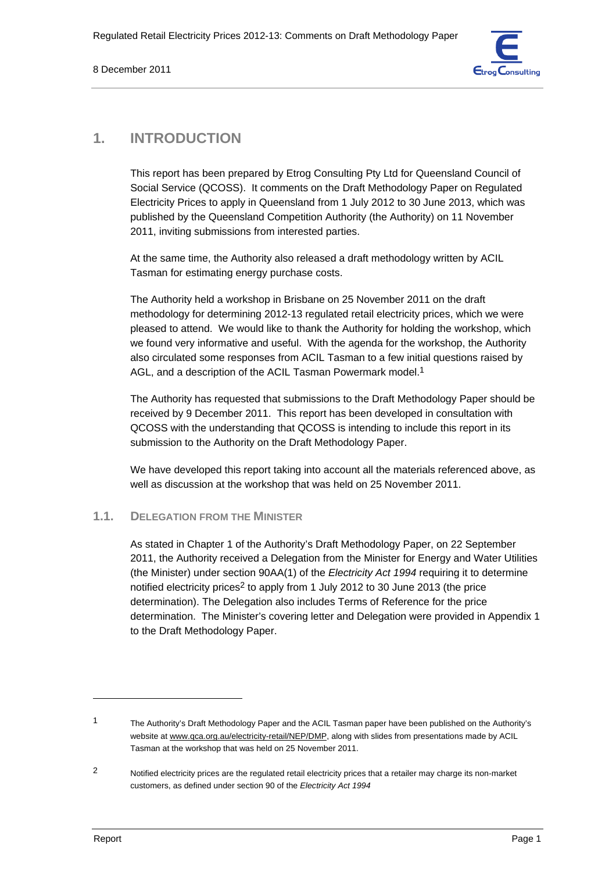

# **1. INTRODUCTION**

This report has been prepared by Etrog Consulting Pty Ltd for Queensland Council of Social Service (QCOSS). It comments on the Draft Methodology Paper on Regulated Electricity Prices to apply in Queensland from 1 July 2012 to 30 June 2013, which was published by the Queensland Competition Authority (the Authority) on 11 November 2011, inviting submissions from interested parties.

At the same time, the Authority also released a draft methodology written by ACIL Tasman for estimating energy purchase costs.

The Authority held a workshop in Brisbane on 25 November 2011 on the draft methodology for determining 2012-13 regulated retail electricity prices, which we were pleased to attend. We would like to thank the Authority for holding the workshop, which we found very informative and useful. With the agenda for the workshop, the Authority also circulated some responses from ACIL Tasman to a few initial questions raised by AGL, and a description of the ACIL Tasman Powermark model.<sup>1</sup>

The Authority has requested that submissions to the Draft Methodology Paper should be received by 9 December 2011. This report has been developed in consultation with QCOSS with the understanding that QCOSS is intending to include this report in its submission to the Authority on the Draft Methodology Paper.

We have developed this report taking into account all the materials referenced above, as well as discussion at the workshop that was held on 25 November 2011.

# **1.1. DELEGATION FROM THE MINISTER**

As stated in Chapter 1 of the Authority's Draft Methodology Paper, on 22 September 2011, the Authority received a Delegation from the Minister for Energy and Water Utilities (the Minister) under section 90AA(1) of the *Electricity Act 1994* requiring it to determine notified electricity prices<sup>2</sup> to apply from 1 July 2012 to 30 June 2013 (the price determination). The Delegation also includes Terms of Reference for the price determination. The Minister's covering letter and Delegation were provided in Appendix 1 to the Draft Methodology Paper.

<sup>1</sup> The Authority's Draft Methodology Paper and the ACIL Tasman paper have been published on the Authority's website at www.qca.org.au/electricity-retail/NEP/DMP, along with slides from presentations made by ACIL Tasman at the workshop that was held on 25 November 2011.

<sup>2</sup> Notified electricity prices are the regulated retail electricity prices that a retailer may charge its non-market customers, as defined under section 90 of the *Electricity Act 1994*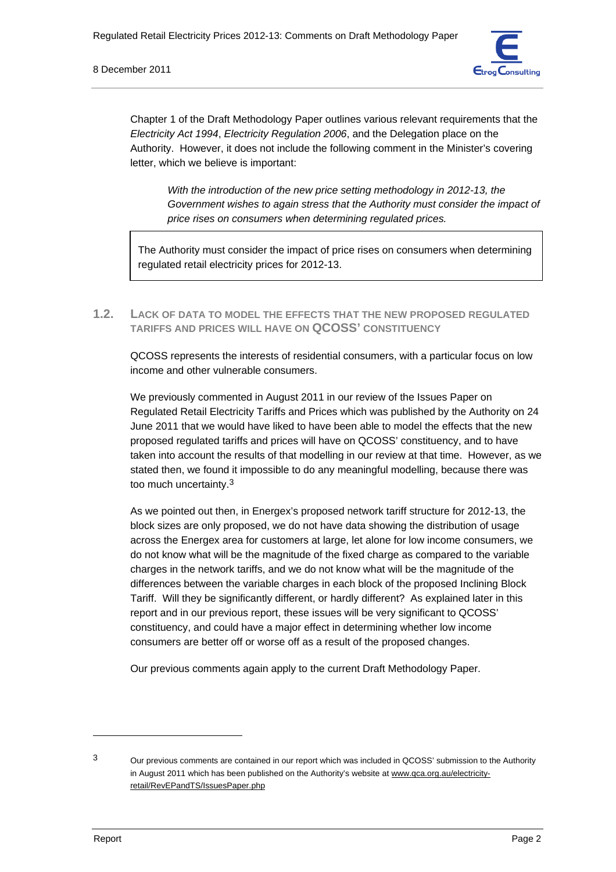

Chapter 1 of the Draft Methodology Paper outlines various relevant requirements that the *Electricity Act 1994*, *Electricity Regulation 2006*, and the Delegation place on the Authority. However, it does not include the following comment in the Minister's covering letter, which we believe is important:

*With the introduction of the new price setting methodology in 2012-13, the Government wishes to again stress that the Authority must consider the impact of price rises on consumers when determining regulated prices.* 

The Authority must consider the impact of price rises on consumers when determining regulated retail electricity prices for 2012-13.

**1.2. LACK OF DATA TO MODEL THE EFFECTS THAT THE NEW PROPOSED REGULATED TARIFFS AND PRICES WILL HAVE ON QCOSS' CONSTITUENCY**

QCOSS represents the interests of residential consumers, with a particular focus on low income and other vulnerable consumers.

We previously commented in August 2011 in our review of the Issues Paper on Regulated Retail Electricity Tariffs and Prices which was published by the Authority on 24 June 2011 that we would have liked to have been able to model the effects that the new proposed regulated tariffs and prices will have on QCOSS' constituency, and to have taken into account the results of that modelling in our review at that time. However, as we stated then, we found it impossible to do any meaningful modelling, because there was too much uncertainty.3

As we pointed out then, in Energex's proposed network tariff structure for 2012-13, the block sizes are only proposed, we do not have data showing the distribution of usage across the Energex area for customers at large, let alone for low income consumers, we do not know what will be the magnitude of the fixed charge as compared to the variable charges in the network tariffs, and we do not know what will be the magnitude of the differences between the variable charges in each block of the proposed Inclining Block Tariff. Will they be significantly different, or hardly different? As explained later in this report and in our previous report, these issues will be very significant to QCOSS' constituency, and could have a major effect in determining whether low income consumers are better off or worse off as a result of the proposed changes.

Our previous comments again apply to the current Draft Methodology Paper.

<sup>3</sup> Our previous comments are contained in our report which was included in QCOSS' submission to the Authority in August 2011 which has been published on the Authority's website at www.qca.org.au/electricityretail/RevEPandTS/IssuesPaper.php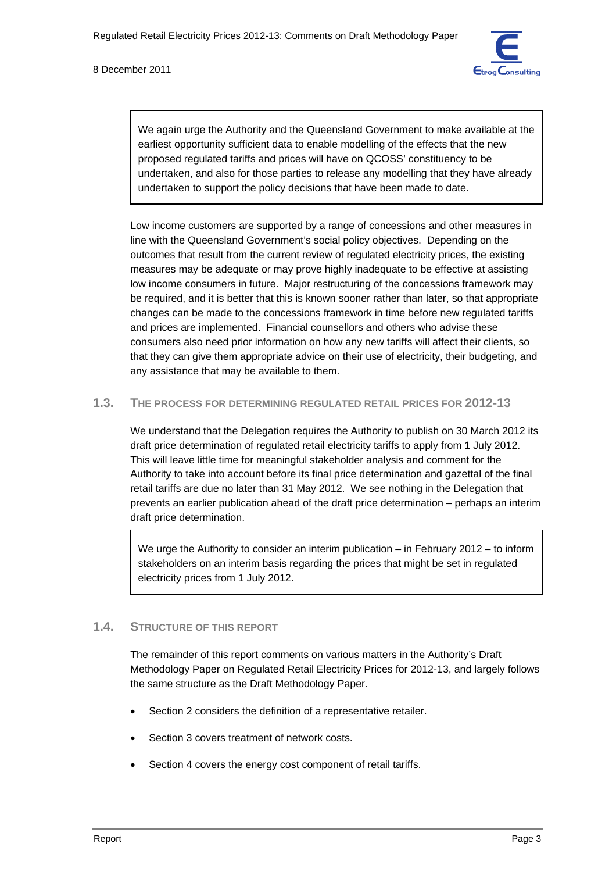

We again urge the Authority and the Queensland Government to make available at the earliest opportunity sufficient data to enable modelling of the effects that the new proposed regulated tariffs and prices will have on QCOSS' constituency to be undertaken, and also for those parties to release any modelling that they have already undertaken to support the policy decisions that have been made to date.

Low income customers are supported by a range of concessions and other measures in line with the Queensland Government's social policy objectives. Depending on the outcomes that result from the current review of regulated electricity prices, the existing measures may be adequate or may prove highly inadequate to be effective at assisting low income consumers in future. Major restructuring of the concessions framework may be required, and it is better that this is known sooner rather than later, so that appropriate changes can be made to the concessions framework in time before new regulated tariffs and prices are implemented. Financial counsellors and others who advise these consumers also need prior information on how any new tariffs will affect their clients, so that they can give them appropriate advice on their use of electricity, their budgeting, and any assistance that may be available to them.

# **1.3. THE PROCESS FOR DETERMINING REGULATED RETAIL PRICES FOR 2012-13**

We understand that the Delegation requires the Authority to publish on 30 March 2012 its draft price determination of regulated retail electricity tariffs to apply from 1 July 2012. This will leave little time for meaningful stakeholder analysis and comment for the Authority to take into account before its final price determination and gazettal of the final retail tariffs are due no later than 31 May 2012. We see nothing in the Delegation that prevents an earlier publication ahead of the draft price determination – perhaps an interim draft price determination.

We urge the Authority to consider an interim publication – in February 2012 – to inform stakeholders on an interim basis regarding the prices that might be set in regulated electricity prices from 1 July 2012.

#### **1.4. STRUCTURE OF THIS REPORT**

The remainder of this report comments on various matters in the Authority's Draft Methodology Paper on Regulated Retail Electricity Prices for 2012-13, and largely follows the same structure as the Draft Methodology Paper.

- Section 2 considers the definition of a representative retailer.
- Section 3 covers treatment of network costs.
- Section 4 covers the energy cost component of retail tariffs.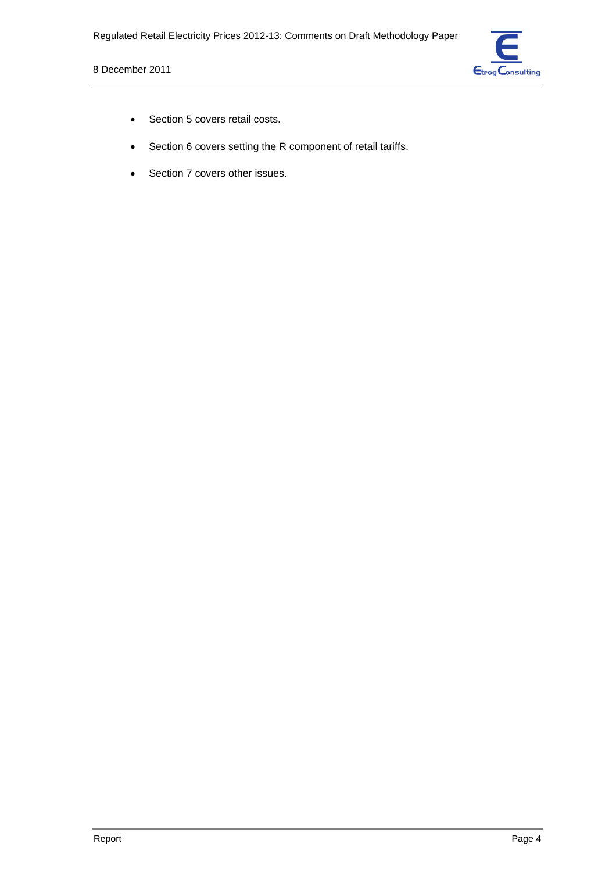

- Section 5 covers retail costs.
- Section 6 covers setting the R component of retail tariffs.
- Section 7 covers other issues.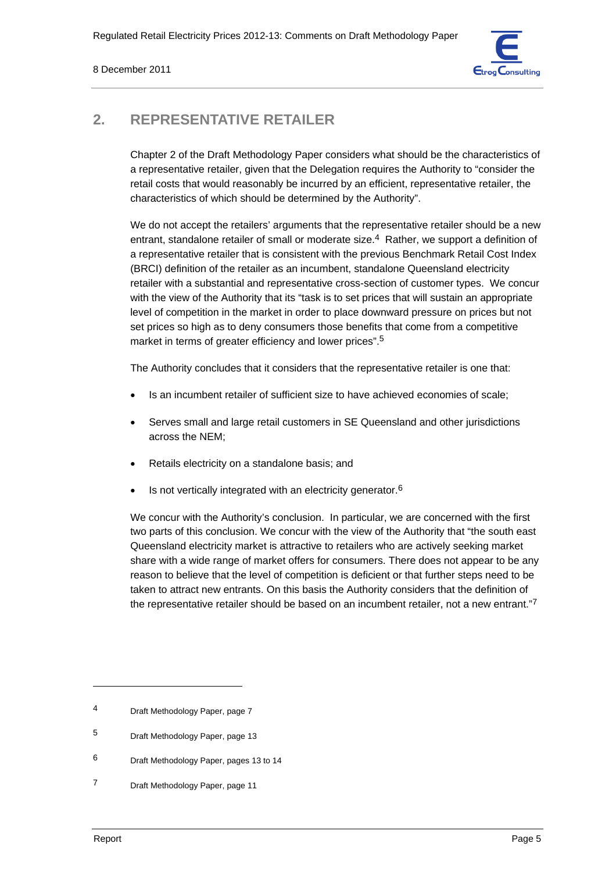

# **2. REPRESENTATIVE RETAILER**

Chapter 2 of the Draft Methodology Paper considers what should be the characteristics of a representative retailer, given that the Delegation requires the Authority to "consider the retail costs that would reasonably be incurred by an efficient, representative retailer, the characteristics of which should be determined by the Authority".

We do not accept the retailers' arguments that the representative retailer should be a new entrant, standalone retailer of small or moderate size.4 Rather, we support a definition of a representative retailer that is consistent with the previous Benchmark Retail Cost Index (BRCI) definition of the retailer as an incumbent, standalone Queensland electricity retailer with a substantial and representative cross-section of customer types. We concur with the view of the Authority that its "task is to set prices that will sustain an appropriate level of competition in the market in order to place downward pressure on prices but not set prices so high as to deny consumers those benefits that come from a competitive market in terms of greater efficiency and lower prices".<sup>5</sup>

The Authority concludes that it considers that the representative retailer is one that:

- Is an incumbent retailer of sufficient size to have achieved economies of scale;
- Serves small and large retail customers in SE Queensland and other jurisdictions across the NEM;
- Retails electricity on a standalone basis; and
- Is not vertically integrated with an electricity generator.<sup>6</sup>

We concur with the Authority's conclusion. In particular, we are concerned with the first two parts of this conclusion. We concur with the view of the Authority that "the south east Queensland electricity market is attractive to retailers who are actively seeking market share with a wide range of market offers for consumers. There does not appear to be any reason to believe that the level of competition is deficient or that further steps need to be taken to attract new entrants. On this basis the Authority considers that the definition of the representative retailer should be based on an incumbent retailer, not a new entrant."7

<sup>4</sup> Draft Methodology Paper, page 7

<sup>5</sup> Draft Methodology Paper, page 13

<sup>6</sup> Draft Methodology Paper, pages 13 to 14

<sup>7</sup> Draft Methodology Paper, page 11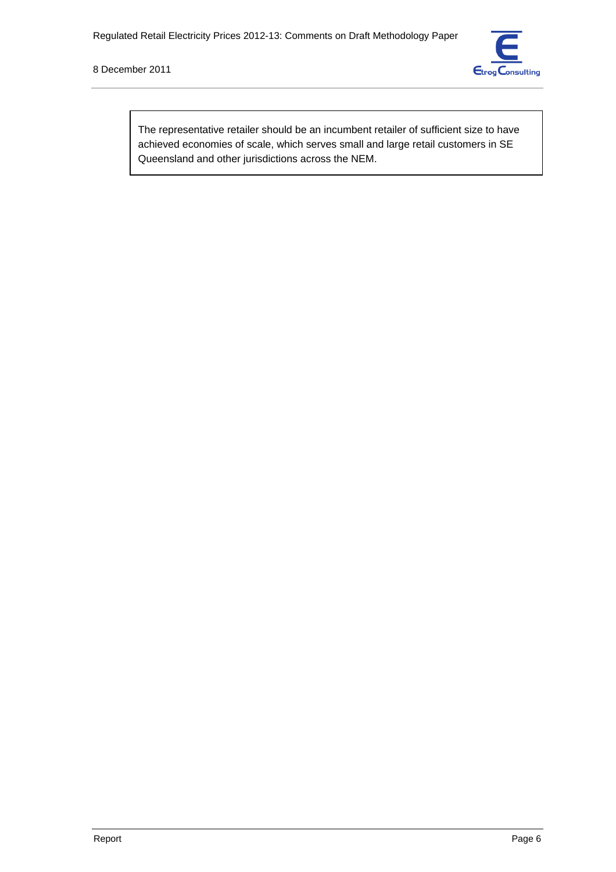

The representative retailer should be an incumbent retailer of sufficient size to have achieved economies of scale, which serves small and large retail customers in SE Queensland and other jurisdictions across the NEM.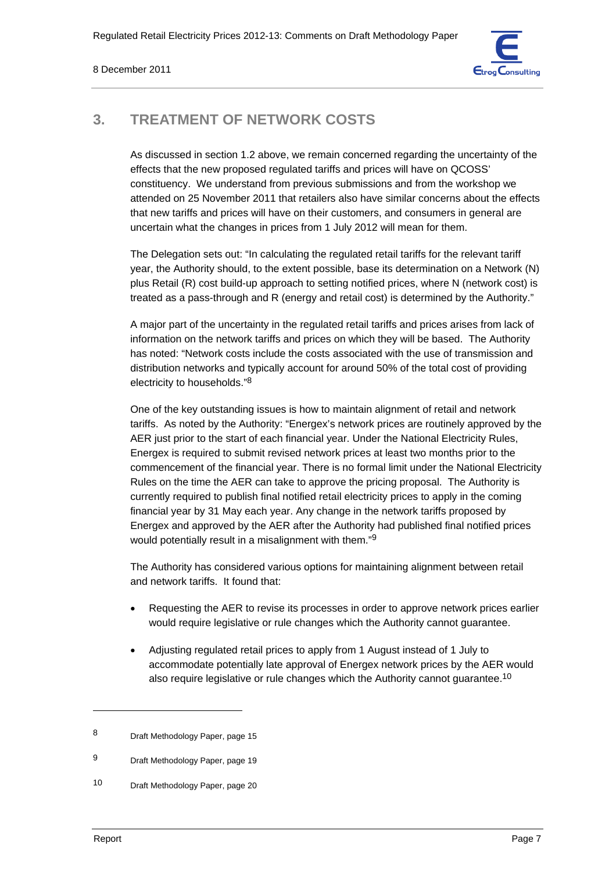

# **3. TREATMENT OF NETWORK COSTS**

As discussed in section 1.2 above, we remain concerned regarding the uncertainty of the effects that the new proposed regulated tariffs and prices will have on QCOSS' constituency. We understand from previous submissions and from the workshop we attended on 25 November 2011 that retailers also have similar concerns about the effects that new tariffs and prices will have on their customers, and consumers in general are uncertain what the changes in prices from 1 July 2012 will mean for them.

The Delegation sets out: "In calculating the regulated retail tariffs for the relevant tariff year, the Authority should, to the extent possible, base its determination on a Network (N) plus Retail (R) cost build-up approach to setting notified prices, where N (network cost) is treated as a pass-through and R (energy and retail cost) is determined by the Authority."

A major part of the uncertainty in the regulated retail tariffs and prices arises from lack of information on the network tariffs and prices on which they will be based. The Authority has noted: "Network costs include the costs associated with the use of transmission and distribution networks and typically account for around 50% of the total cost of providing electricity to households."8

One of the key outstanding issues is how to maintain alignment of retail and network tariffs. As noted by the Authority: "Energex's network prices are routinely approved by the AER just prior to the start of each financial year. Under the National Electricity Rules, Energex is required to submit revised network prices at least two months prior to the commencement of the financial year. There is no formal limit under the National Electricity Rules on the time the AER can take to approve the pricing proposal. The Authority is currently required to publish final notified retail electricity prices to apply in the coming financial year by 31 May each year. Any change in the network tariffs proposed by Energex and approved by the AER after the Authority had published final notified prices would potentially result in a misalignment with them."9

The Authority has considered various options for maintaining alignment between retail and network tariffs. It found that:

- Requesting the AER to revise its processes in order to approve network prices earlier would require legislative or rule changes which the Authority cannot guarantee.
- Adjusting regulated retail prices to apply from 1 August instead of 1 July to accommodate potentially late approval of Energex network prices by the AER would also require legislative or rule changes which the Authority cannot guarantee.<sup>10</sup>

<sup>8</sup> Draft Methodology Paper, page 15

<sup>9</sup> Draft Methodology Paper, page 19

<sup>10</sup> Draft Methodology Paper, page 20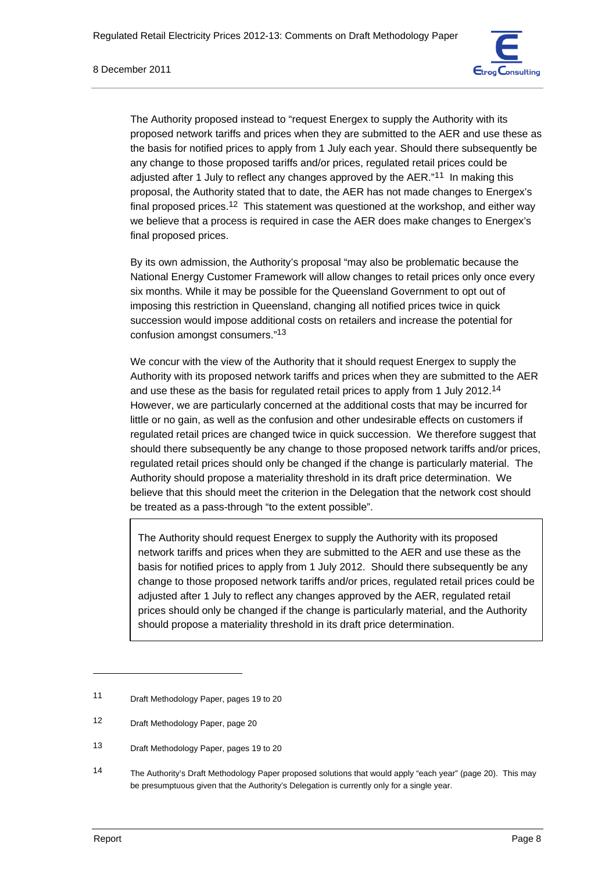

The Authority proposed instead to "request Energex to supply the Authority with its proposed network tariffs and prices when they are submitted to the AER and use these as the basis for notified prices to apply from 1 July each year. Should there subsequently be any change to those proposed tariffs and/or prices, regulated retail prices could be adjusted after 1 July to reflect any changes approved by the AER."<sup>11</sup> In making this proposal, the Authority stated that to date, the AER has not made changes to Energex's final proposed prices.<sup>12</sup> This statement was questioned at the workshop, and either way we believe that a process is required in case the AER does make changes to Energex's final proposed prices.

By its own admission, the Authority's proposal "may also be problematic because the National Energy Customer Framework will allow changes to retail prices only once every six months. While it may be possible for the Queensland Government to opt out of imposing this restriction in Queensland, changing all notified prices twice in quick succession would impose additional costs on retailers and increase the potential for confusion amongst consumers."13

We concur with the view of the Authority that it should request Energex to supply the Authority with its proposed network tariffs and prices when they are submitted to the AER and use these as the basis for regulated retail prices to apply from 1 July 2012.14 However, we are particularly concerned at the additional costs that may be incurred for little or no gain, as well as the confusion and other undesirable effects on customers if regulated retail prices are changed twice in quick succession. We therefore suggest that should there subsequently be any change to those proposed network tariffs and/or prices, regulated retail prices should only be changed if the change is particularly material. The Authority should propose a materiality threshold in its draft price determination. We believe that this should meet the criterion in the Delegation that the network cost should be treated as a pass-through "to the extent possible".

The Authority should request Energex to supply the Authority with its proposed network tariffs and prices when they are submitted to the AER and use these as the basis for notified prices to apply from 1 July 2012. Should there subsequently be any change to those proposed network tariffs and/or prices, regulated retail prices could be adjusted after 1 July to reflect any changes approved by the AER, regulated retail prices should only be changed if the change is particularly material, and the Authority should propose a materiality threshold in its draft price determination.

<sup>11</sup> Draft Methodology Paper, pages 19 to 20

<sup>12</sup> Draft Methodology Paper, page 20

<sup>13</sup> Draft Methodology Paper, pages 19 to 20

<sup>14</sup> The Authority's Draft Methodology Paper proposed solutions that would apply "each year" (page 20). This may be presumptuous given that the Authority's Delegation is currently only for a single year.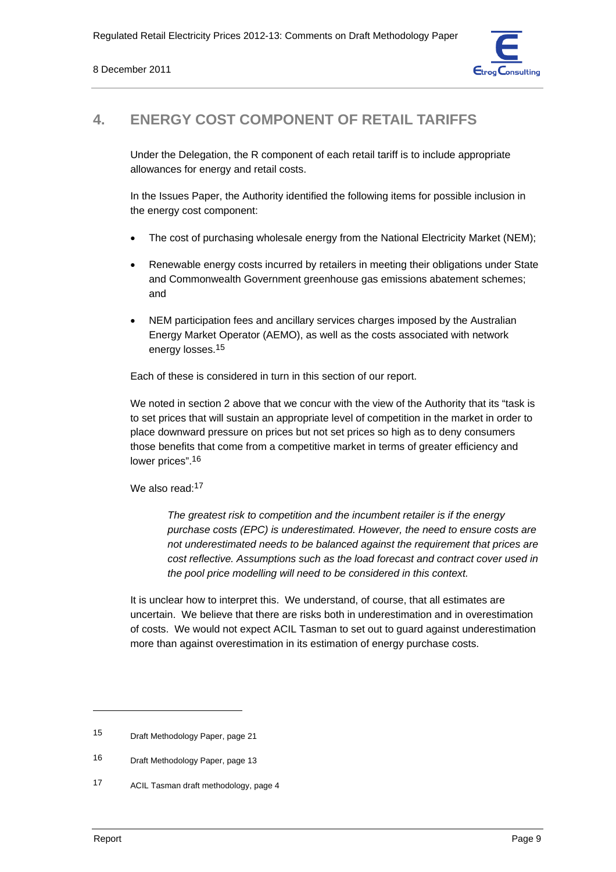

# **4. ENERGY COST COMPONENT OF RETAIL TARIFFS**

Under the Delegation, the R component of each retail tariff is to include appropriate allowances for energy and retail costs.

In the Issues Paper, the Authority identified the following items for possible inclusion in the energy cost component:

- The cost of purchasing wholesale energy from the National Electricity Market (NEM);
- Renewable energy costs incurred by retailers in meeting their obligations under State and Commonwealth Government greenhouse gas emissions abatement schemes; and
- NEM participation fees and ancillary services charges imposed by the Australian Energy Market Operator (AEMO), as well as the costs associated with network energy losses.15

Each of these is considered in turn in this section of our report.

We noted in section 2 above that we concur with the view of the Authority that its "task is to set prices that will sustain an appropriate level of competition in the market in order to place downward pressure on prices but not set prices so high as to deny consumers those benefits that come from a competitive market in terms of greater efficiency and lower prices".<sup>16</sup>

#### We also read:<sup>17</sup>

*The greatest risk to competition and the incumbent retailer is if the energy purchase costs (EPC) is underestimated. However, the need to ensure costs are not underestimated needs to be balanced against the requirement that prices are cost reflective. Assumptions such as the load forecast and contract cover used in the pool price modelling will need to be considered in this context.* 

It is unclear how to interpret this. We understand, of course, that all estimates are uncertain. We believe that there are risks both in underestimation and in overestimation of costs. We would not expect ACIL Tasman to set out to guard against underestimation more than against overestimation in its estimation of energy purchase costs.

<sup>15</sup> Draft Methodology Paper, page 21

<sup>16</sup> Draft Methodology Paper, page 13

<sup>17</sup> ACIL Tasman draft methodology, page 4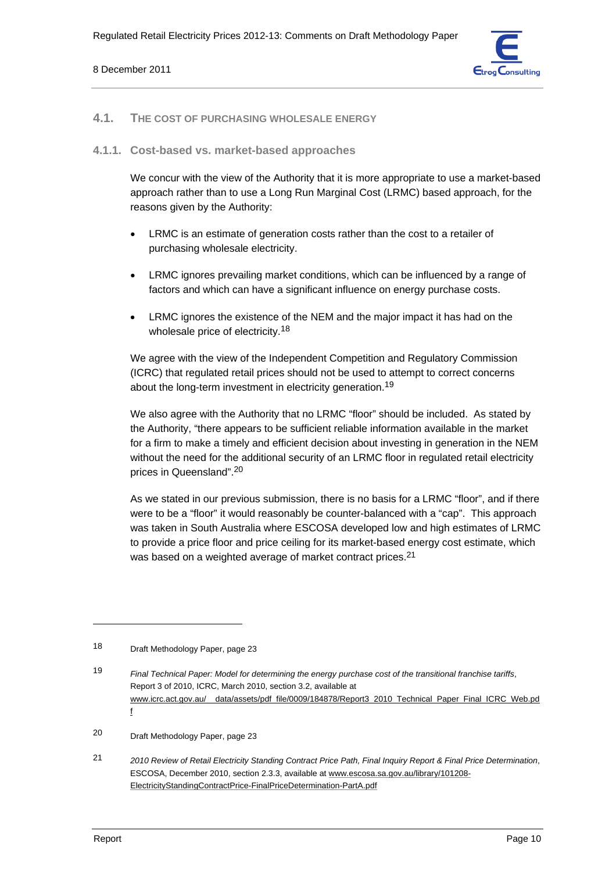

#### **4.1. THE COST OF PURCHASING WHOLESALE ENERGY**

#### **4.1.1. Cost-based vs. market-based approaches**

We concur with the view of the Authority that it is more appropriate to use a market-based approach rather than to use a Long Run Marginal Cost (LRMC) based approach, for the reasons given by the Authority:

- LRMC is an estimate of generation costs rather than the cost to a retailer of purchasing wholesale electricity.
- LRMC ignores prevailing market conditions, which can be influenced by a range of factors and which can have a significant influence on energy purchase costs.
- LRMC ignores the existence of the NEM and the major impact it has had on the wholesale price of electricity.<sup>18</sup>

We agree with the view of the Independent Competition and Regulatory Commission (ICRC) that regulated retail prices should not be used to attempt to correct concerns about the long-term investment in electricity generation.19

We also agree with the Authority that no LRMC "floor" should be included. As stated by the Authority, "there appears to be sufficient reliable information available in the market for a firm to make a timely and efficient decision about investing in generation in the NEM without the need for the additional security of an LRMC floor in regulated retail electricity prices in Queensland".20

As we stated in our previous submission, there is no basis for a LRMC "floor", and if there were to be a "floor" it would reasonably be counter-balanced with a "cap". This approach was taken in South Australia where ESCOSA developed low and high estimates of LRMC to provide a price floor and price ceiling for its market-based energy cost estimate, which was based on a weighted average of market contract prices.<sup>21</sup>

21 *2010 Review of Retail Electricity Standing Contract Price Path, Final Inquiry Report & Final Price Determination*, ESCOSA, December 2010, section 2.3.3, available at www.escosa.sa.gov.au/library/101208- ElectricityStandingContractPrice-FinalPriceDetermination-PartA.pdf

<sup>18</sup> Draft Methodology Paper, page 23

<sup>19</sup> *Final Technical Paper: Model for determining the energy purchase cost of the transitional franchise tariffs*, Report 3 of 2010, ICRC, March 2010, section 3.2, available at www.icrc.act.gov.au/ data/assets/pdf file/0009/184878/Report3 2010 Technical Paper Final ICRC Web.pd f

<sup>20</sup> Draft Methodology Paper, page 23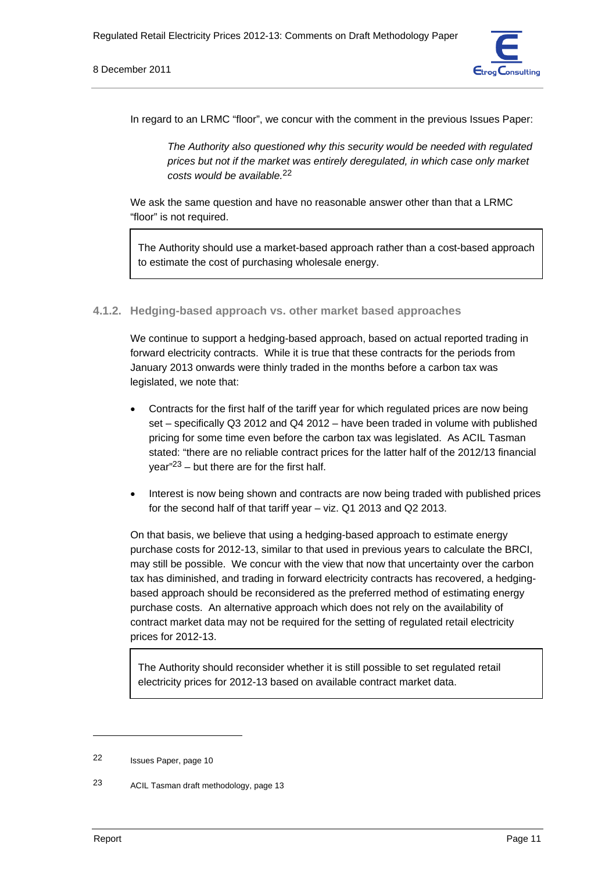8 December 2011



In regard to an LRMC "floor", we concur with the comment in the previous Issues Paper:

*The Authority also questioned why this security would be needed with regulated prices but not if the market was entirely deregulated, in which case only market costs would be available.*22

We ask the same question and have no reasonable answer other than that a LRMC "floor" is not required.

The Authority should use a market-based approach rather than a cost-based approach to estimate the cost of purchasing wholesale energy.

## **4.1.2. Hedging-based approach vs. other market based approaches**

We continue to support a hedging-based approach, based on actual reported trading in forward electricity contracts. While it is true that these contracts for the periods from January 2013 onwards were thinly traded in the months before a carbon tax was legislated, we note that:

- Contracts for the first half of the tariff year for which regulated prices are now being set – specifically Q3 2012 and Q4 2012 – have been traded in volume with published pricing for some time even before the carbon tax was legislated. As ACIL Tasman stated: "there are no reliable contract prices for the latter half of the 2012/13 financial year"23 – but there are for the first half.
- Interest is now being shown and contracts are now being traded with published prices for the second half of that tariff year – viz. Q1 2013 and Q2 2013.

On that basis, we believe that using a hedging-based approach to estimate energy purchase costs for 2012-13, similar to that used in previous years to calculate the BRCI, may still be possible. We concur with the view that now that uncertainty over the carbon tax has diminished, and trading in forward electricity contracts has recovered, a hedgingbased approach should be reconsidered as the preferred method of estimating energy purchase costs. An alternative approach which does not rely on the availability of contract market data may not be required for the setting of regulated retail electricity prices for 2012-13.

The Authority should reconsider whether it is still possible to set regulated retail electricity prices for 2012-13 based on available contract market data.

<sup>22</sup> Issues Paper, page 10

<sup>23</sup> ACIL Tasman draft methodology, page 13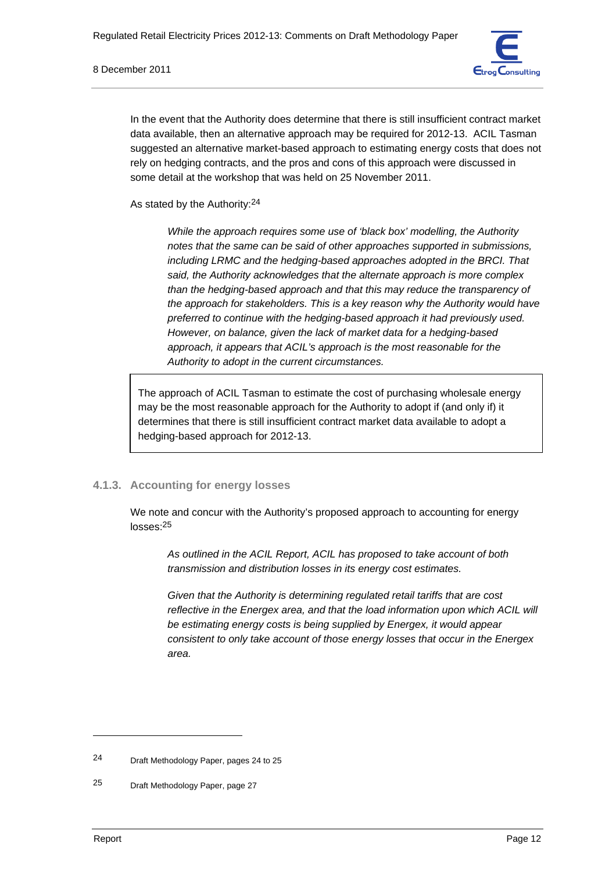

In the event that the Authority does determine that there is still insufficient contract market data available, then an alternative approach may be required for 2012-13. ACIL Tasman suggested an alternative market-based approach to estimating energy costs that does not rely on hedging contracts, and the pros and cons of this approach were discussed in some detail at the workshop that was held on 25 November 2011.

As stated by the Authority:24

*While the approach requires some use of 'black box' modelling, the Authority notes that the same can be said of other approaches supported in submissions, including LRMC and the hedging-based approaches adopted in the BRCI. That said, the Authority acknowledges that the alternate approach is more complex than the hedging-based approach and that this may reduce the transparency of the approach for stakeholders. This is a key reason why the Authority would have preferred to continue with the hedging-based approach it had previously used. However, on balance, given the lack of market data for a hedging-based approach, it appears that ACIL's approach is the most reasonable for the Authority to adopt in the current circumstances.* 

The approach of ACIL Tasman to estimate the cost of purchasing wholesale energy may be the most reasonable approach for the Authority to adopt if (and only if) it determines that there is still insufficient contract market data available to adopt a hedging-based approach for 2012-13.

# **4.1.3. Accounting for energy losses**

We note and concur with the Authority's proposed approach to accounting for energy losses:25

*As outlined in the ACIL Report, ACIL has proposed to take account of both transmission and distribution losses in its energy cost estimates.* 

*Given that the Authority is determining regulated retail tariffs that are cost reflective in the Energex area, and that the load information upon which ACIL will be estimating energy costs is being supplied by Energex, it would appear consistent to only take account of those energy losses that occur in the Energex area.* 

<sup>24</sup> Draft Methodology Paper, pages 24 to 25

<sup>25</sup> Draft Methodology Paper, page 27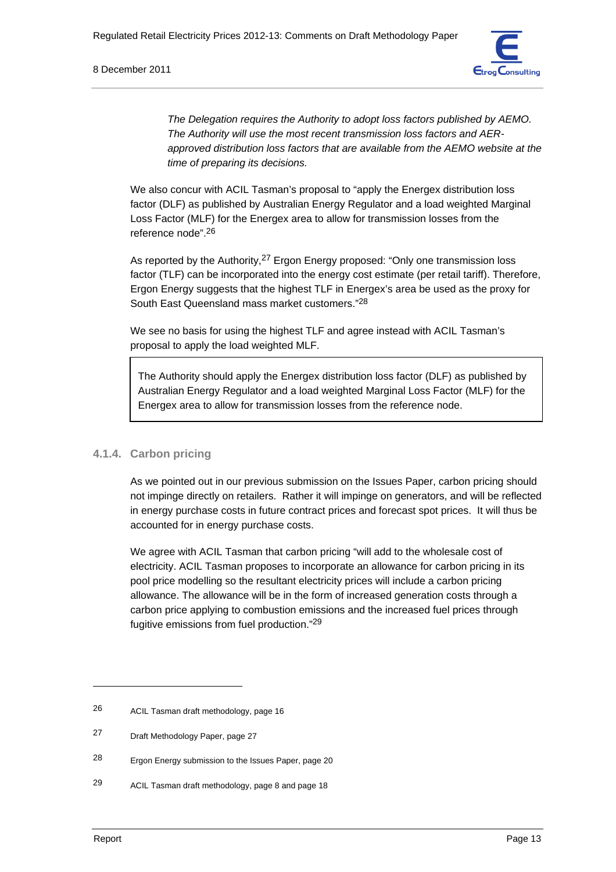

*The Delegation requires the Authority to adopt loss factors published by AEMO. The Authority will use the most recent transmission loss factors and AERapproved distribution loss factors that are available from the AEMO website at the time of preparing its decisions.* 

We also concur with ACIL Tasman's proposal to "apply the Energex distribution loss factor (DLF) as published by Australian Energy Regulator and a load weighted Marginal Loss Factor (MLF) for the Energex area to allow for transmission losses from the reference node".26

As reported by the Authority,<sup>27</sup> Ergon Energy proposed: "Only one transmission loss factor (TLF) can be incorporated into the energy cost estimate (per retail tariff). Therefore, Ergon Energy suggests that the highest TLF in Energex's area be used as the proxy for South East Queensland mass market customers."28

We see no basis for using the highest TLF and agree instead with ACIL Tasman's proposal to apply the load weighted MLF.

The Authority should apply the Energex distribution loss factor (DLF) as published by Australian Energy Regulator and a load weighted Marginal Loss Factor (MLF) for the Energex area to allow for transmission losses from the reference node.

# **4.1.4. Carbon pricing**

As we pointed out in our previous submission on the Issues Paper, carbon pricing should not impinge directly on retailers. Rather it will impinge on generators, and will be reflected in energy purchase costs in future contract prices and forecast spot prices. It will thus be accounted for in energy purchase costs.

We agree with ACIL Tasman that carbon pricing "will add to the wholesale cost of electricity. ACIL Tasman proposes to incorporate an allowance for carbon pricing in its pool price modelling so the resultant electricity prices will include a carbon pricing allowance. The allowance will be in the form of increased generation costs through a carbon price applying to combustion emissions and the increased fuel prices through fugitive emissions from fuel production."29

<sup>26</sup> ACIL Tasman draft methodology, page 16

<sup>27</sup> Draft Methodology Paper, page 27

<sup>28</sup> Ergon Energy submission to the Issues Paper, page 20

<sup>29</sup> ACIL Tasman draft methodology, page 8 and page 18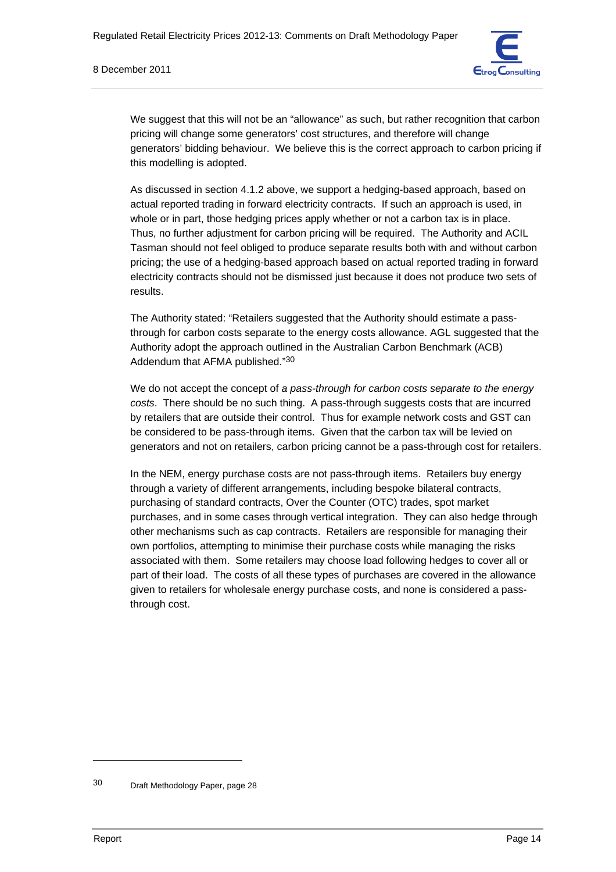

We suggest that this will not be an "allowance" as such, but rather recognition that carbon pricing will change some generators' cost structures, and therefore will change generators' bidding behaviour. We believe this is the correct approach to carbon pricing if this modelling is adopted.

As discussed in section 4.1.2 above, we support a hedging-based approach, based on actual reported trading in forward electricity contracts. If such an approach is used, in whole or in part, those hedging prices apply whether or not a carbon tax is in place. Thus, no further adjustment for carbon pricing will be required. The Authority and ACIL Tasman should not feel obliged to produce separate results both with and without carbon pricing; the use of a hedging-based approach based on actual reported trading in forward electricity contracts should not be dismissed just because it does not produce two sets of results.

The Authority stated: "Retailers suggested that the Authority should estimate a passthrough for carbon costs separate to the energy costs allowance. AGL suggested that the Authority adopt the approach outlined in the Australian Carbon Benchmark (ACB) Addendum that AFMA published."30

We do not accept the concept of *a pass-through for carbon costs separate to the energy costs*. There should be no such thing. A pass-through suggests costs that are incurred by retailers that are outside their control. Thus for example network costs and GST can be considered to be pass-through items. Given that the carbon tax will be levied on generators and not on retailers, carbon pricing cannot be a pass-through cost for retailers.

In the NEM, energy purchase costs are not pass-through items. Retailers buy energy through a variety of different arrangements, including bespoke bilateral contracts, purchasing of standard contracts, Over the Counter (OTC) trades, spot market purchases, and in some cases through vertical integration. They can also hedge through other mechanisms such as cap contracts. Retailers are responsible for managing their own portfolios, attempting to minimise their purchase costs while managing the risks associated with them. Some retailers may choose load following hedges to cover all or part of their load. The costs of all these types of purchases are covered in the allowance given to retailers for wholesale energy purchase costs, and none is considered a passthrough cost.

<sup>30</sup> Draft Methodology Paper, page 28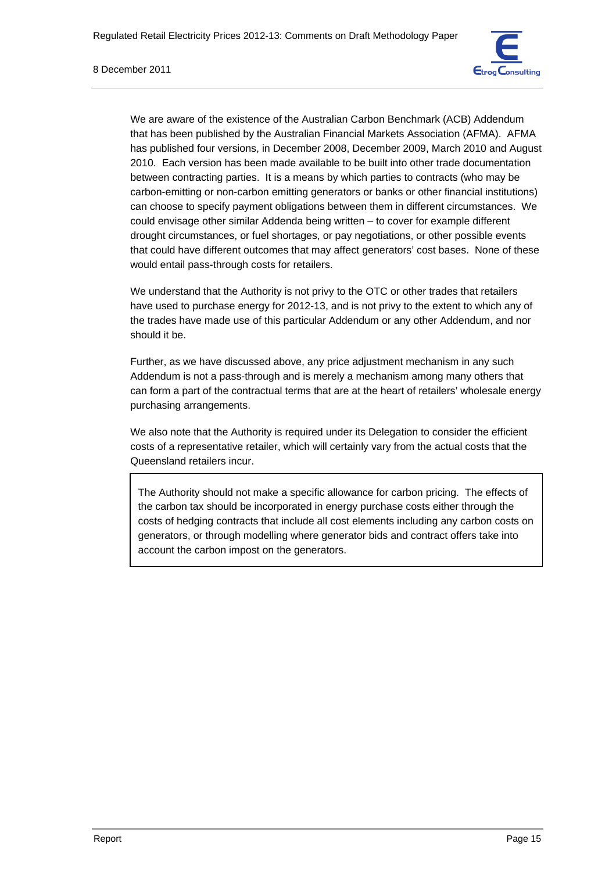

We are aware of the existence of the Australian Carbon Benchmark (ACB) Addendum that has been published by the Australian Financial Markets Association (AFMA). AFMA has published four versions, in December 2008, December 2009, March 2010 and August 2010. Each version has been made available to be built into other trade documentation between contracting parties. It is a means by which parties to contracts (who may be carbon-emitting or non-carbon emitting generators or banks or other financial institutions) can choose to specify payment obligations between them in different circumstances. We could envisage other similar Addenda being written – to cover for example different drought circumstances, or fuel shortages, or pay negotiations, or other possible events that could have different outcomes that may affect generators' cost bases. None of these would entail pass-through costs for retailers.

We understand that the Authority is not privy to the OTC or other trades that retailers have used to purchase energy for 2012-13, and is not privy to the extent to which any of the trades have made use of this particular Addendum or any other Addendum, and nor should it be.

Further, as we have discussed above, any price adjustment mechanism in any such Addendum is not a pass-through and is merely a mechanism among many others that can form a part of the contractual terms that are at the heart of retailers' wholesale energy purchasing arrangements.

We also note that the Authority is required under its Delegation to consider the efficient costs of a representative retailer, which will certainly vary from the actual costs that the Queensland retailers incur.

The Authority should not make a specific allowance for carbon pricing. The effects of the carbon tax should be incorporated in energy purchase costs either through the costs of hedging contracts that include all cost elements including any carbon costs on generators, or through modelling where generator bids and contract offers take into account the carbon impost on the generators.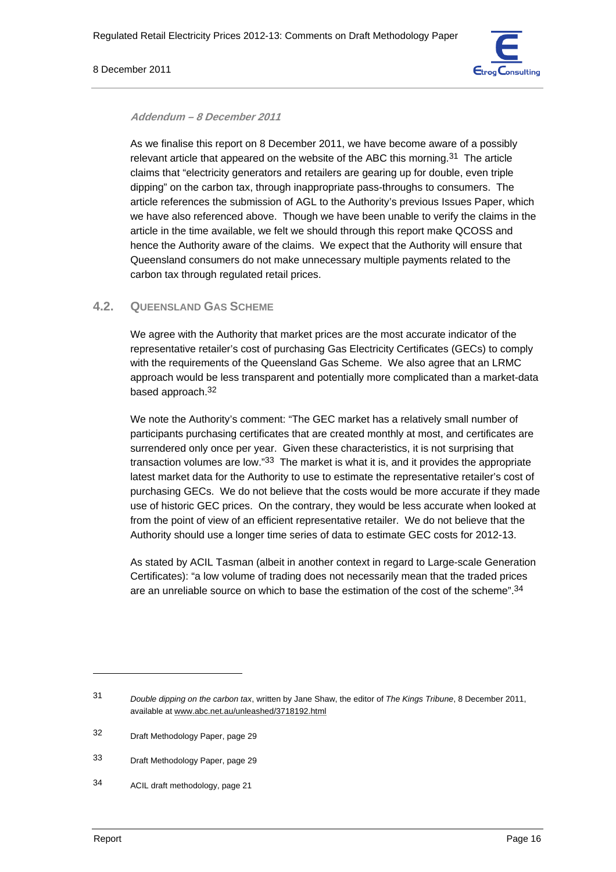#### 8 December 2011



#### **Addendum – 8 December 2011**

As we finalise this report on 8 December 2011, we have become aware of a possibly relevant article that appeared on the website of the ABC this morning.31 The article claims that "electricity generators and retailers are gearing up for double, even triple dipping" on the carbon tax, through inappropriate pass-throughs to consumers. The article references the submission of AGL to the Authority's previous Issues Paper, which we have also referenced above. Though we have been unable to verify the claims in the article in the time available, we felt we should through this report make QCOSS and hence the Authority aware of the claims. We expect that the Authority will ensure that Queensland consumers do not make unnecessary multiple payments related to the carbon tax through regulated retail prices.

## **4.2. QUEENSLAND GAS SCHEME**

We agree with the Authority that market prices are the most accurate indicator of the representative retailer's cost of purchasing Gas Electricity Certificates (GECs) to comply with the requirements of the Queensland Gas Scheme. We also agree that an LRMC approach would be less transparent and potentially more complicated than a market-data based approach.32

We note the Authority's comment: "The GEC market has a relatively small number of participants purchasing certificates that are created monthly at most, and certificates are surrendered only once per year. Given these characteristics, it is not surprising that transaction volumes are low."33 The market is what it is, and it provides the appropriate latest market data for the Authority to use to estimate the representative retailer's cost of purchasing GECs. We do not believe that the costs would be more accurate if they made use of historic GEC prices. On the contrary, they would be less accurate when looked at from the point of view of an efficient representative retailer. We do not believe that the Authority should use a longer time series of data to estimate GEC costs for 2012-13.

As stated by ACIL Tasman (albeit in another context in regard to Large-scale Generation Certificates): "a low volume of trading does not necessarily mean that the traded prices are an unreliable source on which to base the estimation of the cost of the scheme".34

<sup>31</sup> *Double dipping on the carbon tax*, written by Jane Shaw, the editor of *The Kings Tribune*, 8 December 2011, available at www.abc.net.au/unleashed/3718192.html

<sup>32</sup> Draft Methodology Paper, page 29

<sup>33</sup> Draft Methodology Paper, page 29

<sup>34</sup> ACIL draft methodology, page 21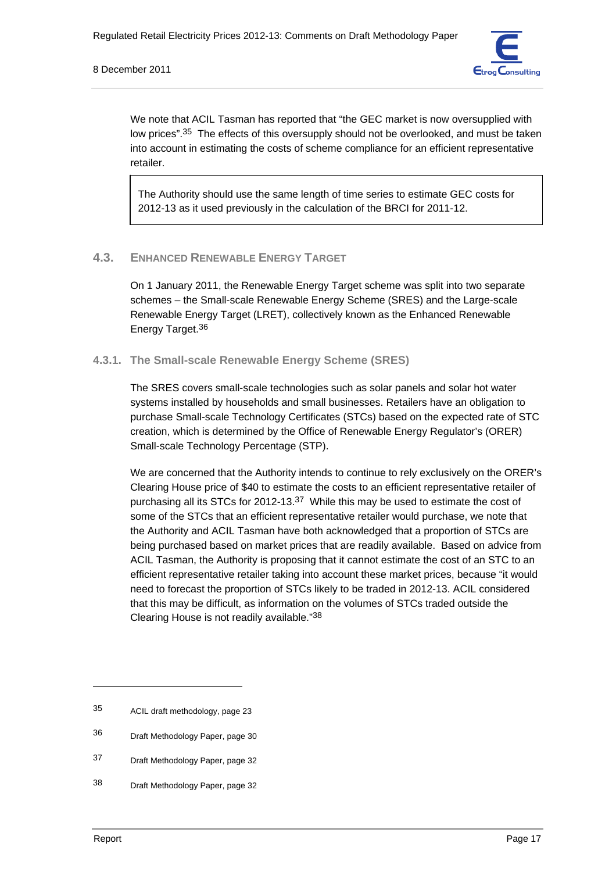#### 8 December 2011



We note that ACIL Tasman has reported that "the GEC market is now oversupplied with low prices".<sup>35</sup> The effects of this oversupply should not be overlooked, and must be taken into account in estimating the costs of scheme compliance for an efficient representative retailer.

The Authority should use the same length of time series to estimate GEC costs for 2012-13 as it used previously in the calculation of the BRCI for 2011-12.

#### **4.3. ENHANCED RENEWABLE ENERGY TARGET**

On 1 January 2011, the Renewable Energy Target scheme was split into two separate schemes – the Small-scale Renewable Energy Scheme (SRES) and the Large-scale Renewable Energy Target (LRET), collectively known as the Enhanced Renewable Energy Target.<sup>36</sup>

#### **4.3.1. The Small-scale Renewable Energy Scheme (SRES)**

The SRES covers small-scale technologies such as solar panels and solar hot water systems installed by households and small businesses. Retailers have an obligation to purchase Small-scale Technology Certificates (STCs) based on the expected rate of STC creation, which is determined by the Office of Renewable Energy Regulator's (ORER) Small-scale Technology Percentage (STP).

We are concerned that the Authority intends to continue to rely exclusively on the ORER's Clearing House price of \$40 to estimate the costs to an efficient representative retailer of purchasing all its STCs for 2012-13.<sup>37</sup> While this may be used to estimate the cost of some of the STCs that an efficient representative retailer would purchase, we note that the Authority and ACIL Tasman have both acknowledged that a proportion of STCs are being purchased based on market prices that are readily available. Based on advice from ACIL Tasman, the Authority is proposing that it cannot estimate the cost of an STC to an efficient representative retailer taking into account these market prices, because "it would need to forecast the proportion of STCs likely to be traded in 2012-13. ACIL considered that this may be difficult, as information on the volumes of STCs traded outside the Clearing House is not readily available."38

<sup>35</sup> ACIL draft methodology, page 23

<sup>36</sup> Draft Methodology Paper, page 30

<sup>37</sup> Draft Methodology Paper, page 32

<sup>38</sup> Draft Methodology Paper, page 32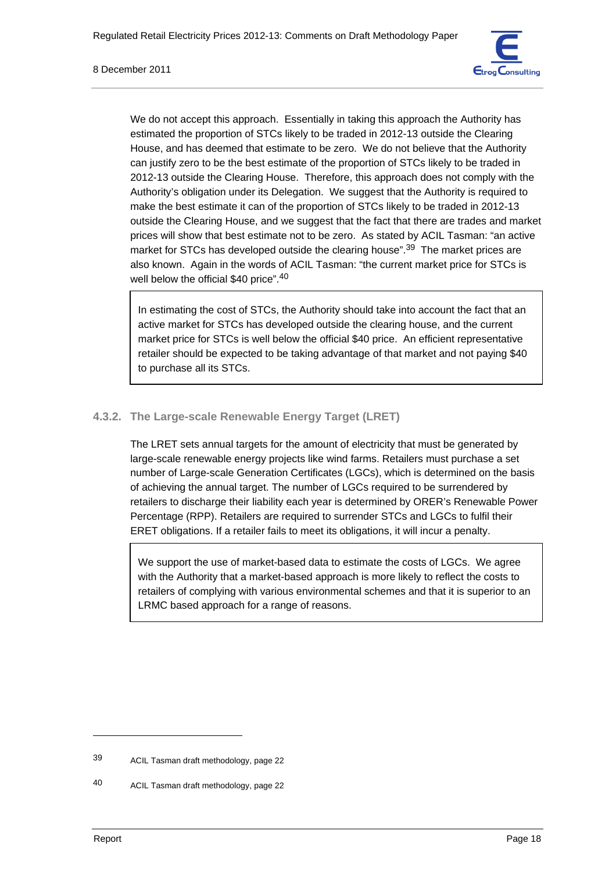

We do not accept this approach. Essentially in taking this approach the Authority has estimated the proportion of STCs likely to be traded in 2012-13 outside the Clearing House, and has deemed that estimate to be zero. We do not believe that the Authority can justify zero to be the best estimate of the proportion of STCs likely to be traded in 2012-13 outside the Clearing House. Therefore, this approach does not comply with the Authority's obligation under its Delegation. We suggest that the Authority is required to make the best estimate it can of the proportion of STCs likely to be traded in 2012-13 outside the Clearing House, and we suggest that the fact that there are trades and market prices will show that best estimate not to be zero. As stated by ACIL Tasman: "an active market for STCs has developed outside the clearing house".<sup>39</sup> The market prices are also known. Again in the words of ACIL Tasman: "the current market price for STCs is well below the official \$40 price".<sup>40</sup>

In estimating the cost of STCs, the Authority should take into account the fact that an active market for STCs has developed outside the clearing house, and the current market price for STCs is well below the official \$40 price. An efficient representative retailer should be expected to be taking advantage of that market and not paying \$40 to purchase all its STCs.

# **4.3.2. The Large-scale Renewable Energy Target (LRET)**

The LRET sets annual targets for the amount of electricity that must be generated by large-scale renewable energy projects like wind farms. Retailers must purchase a set number of Large-scale Generation Certificates (LGCs), which is determined on the basis of achieving the annual target. The number of LGCs required to be surrendered by retailers to discharge their liability each year is determined by ORER's Renewable Power Percentage (RPP). Retailers are required to surrender STCs and LGCs to fulfil their ERET obligations. If a retailer fails to meet its obligations, it will incur a penalty.

We support the use of market-based data to estimate the costs of LGCs. We agree with the Authority that a market-based approach is more likely to reflect the costs to retailers of complying with various environmental schemes and that it is superior to an LRMC based approach for a range of reasons.

<sup>39</sup> ACIL Tasman draft methodology, page 22

<sup>40</sup> ACIL Tasman draft methodology, page 22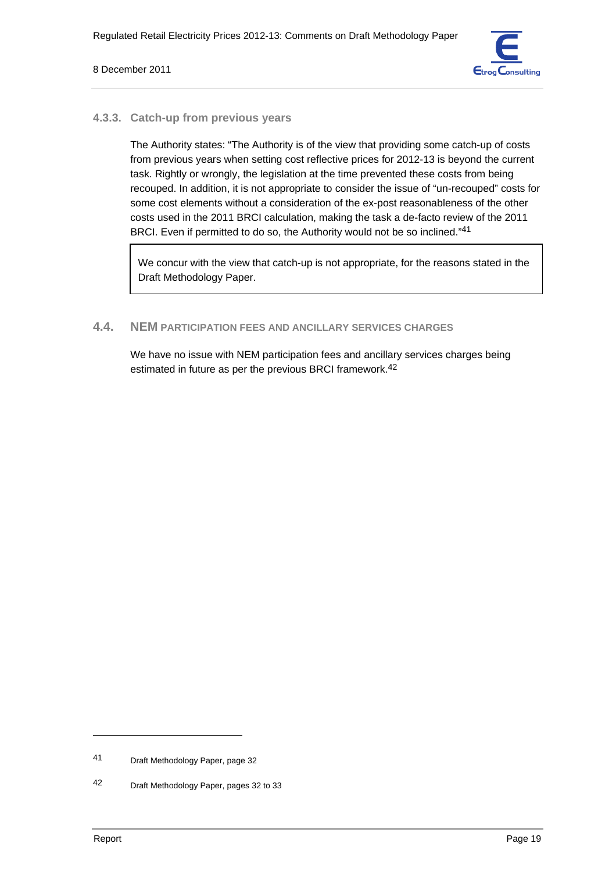

#### **4.3.3. Catch-up from previous years**

The Authority states: "The Authority is of the view that providing some catch-up of costs from previous years when setting cost reflective prices for 2012-13 is beyond the current task. Rightly or wrongly, the legislation at the time prevented these costs from being recouped. In addition, it is not appropriate to consider the issue of "un-recouped" costs for some cost elements without a consideration of the ex-post reasonableness of the other costs used in the 2011 BRCI calculation, making the task a de-facto review of the 2011 BRCI. Even if permitted to do so, the Authority would not be so inclined."41

We concur with the view that catch-up is not appropriate, for the reasons stated in the Draft Methodology Paper.

# **4.4. NEM PARTICIPATION FEES AND ANCILLARY SERVICES CHARGES**

We have no issue with NEM participation fees and ancillary services charges being estimated in future as per the previous BRCI framework.42

<sup>41</sup> Draft Methodology Paper, page 32

<sup>42</sup> Draft Methodology Paper, pages 32 to 33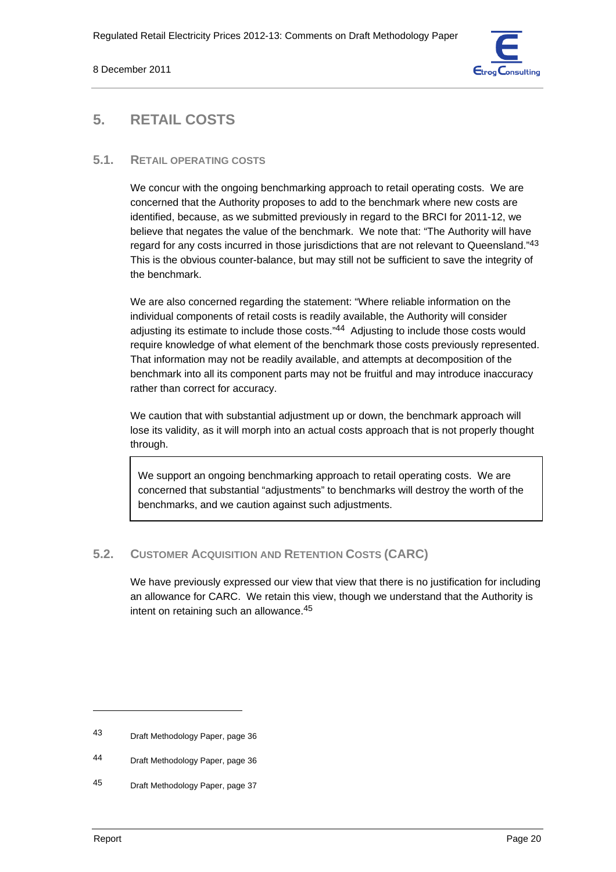

# **5. RETAIL COSTS**

## **5.1. RETAIL OPERATING COSTS**

We concur with the ongoing benchmarking approach to retail operating costs. We are concerned that the Authority proposes to add to the benchmark where new costs are identified, because, as we submitted previously in regard to the BRCI for 2011-12, we believe that negates the value of the benchmark. We note that: "The Authority will have regard for any costs incurred in those jurisdictions that are not relevant to Queensland."<sup>43</sup> This is the obvious counter-balance, but may still not be sufficient to save the integrity of the benchmark.

We are also concerned regarding the statement: "Where reliable information on the individual components of retail costs is readily available, the Authority will consider adjusting its estimate to include those costs."44 Adjusting to include those costs would require knowledge of what element of the benchmark those costs previously represented. That information may not be readily available, and attempts at decomposition of the benchmark into all its component parts may not be fruitful and may introduce inaccuracy rather than correct for accuracy.

We caution that with substantial adjustment up or down, the benchmark approach will lose its validity, as it will morph into an actual costs approach that is not properly thought through.

We support an ongoing benchmarking approach to retail operating costs. We are concerned that substantial "adjustments" to benchmarks will destroy the worth of the benchmarks, and we caution against such adjustments.

# **5.2. CUSTOMER ACQUISITION AND RETENTION COSTS (CARC)**

We have previously expressed our view that view that there is no justification for including an allowance for CARC. We retain this view, though we understand that the Authority is intent on retaining such an allowance.45

<sup>43</sup> Draft Methodology Paper, page 36

<sup>44</sup> Draft Methodology Paper, page 36

<sup>45</sup> Draft Methodology Paper, page 37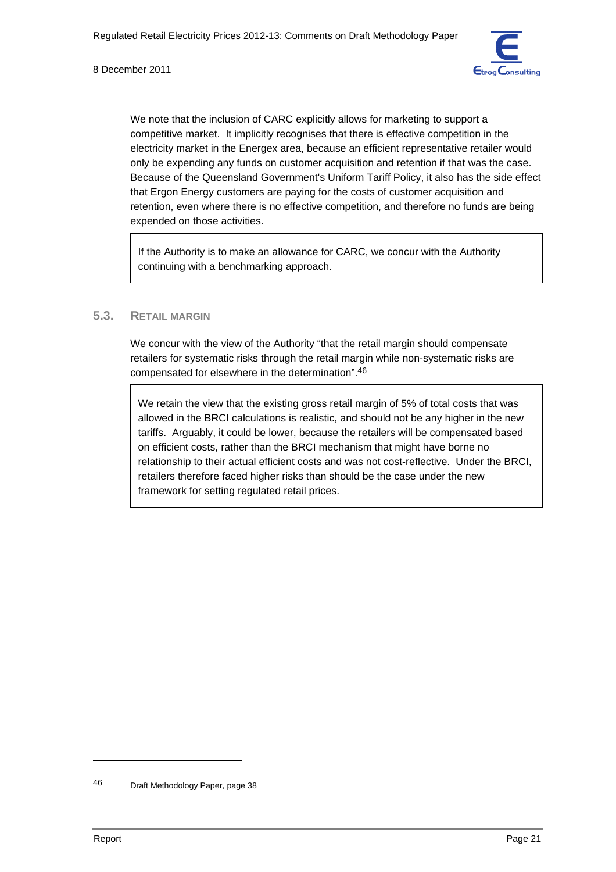

We note that the inclusion of CARC explicitly allows for marketing to support a competitive market. It implicitly recognises that there is effective competition in the electricity market in the Energex area, because an efficient representative retailer would only be expending any funds on customer acquisition and retention if that was the case. Because of the Queensland Government's Uniform Tariff Policy, it also has the side effect that Ergon Energy customers are paying for the costs of customer acquisition and retention, even where there is no effective competition, and therefore no funds are being expended on those activities.

If the Authority is to make an allowance for CARC, we concur with the Authority continuing with a benchmarking approach.

## **5.3. RETAIL MARGIN**

We concur with the view of the Authority "that the retail margin should compensate retailers for systematic risks through the retail margin while non-systematic risks are compensated for elsewhere in the determination".46

We retain the view that the existing gross retail margin of 5% of total costs that was allowed in the BRCI calculations is realistic, and should not be any higher in the new tariffs. Arguably, it could be lower, because the retailers will be compensated based on efficient costs, rather than the BRCI mechanism that might have borne no relationship to their actual efficient costs and was not cost-reflective. Under the BRCI, retailers therefore faced higher risks than should be the case under the new framework for setting regulated retail prices.

<sup>46</sup> Draft Methodology Paper, page 38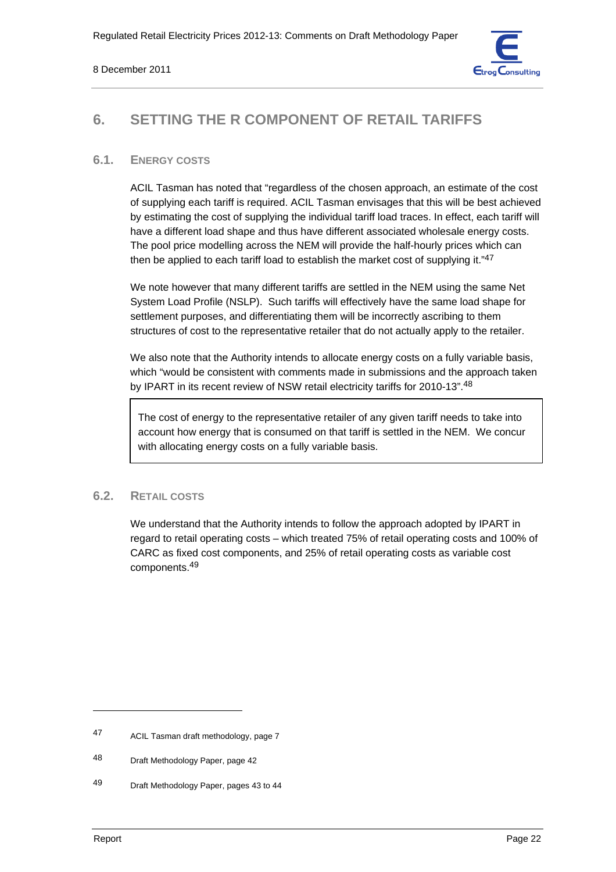

# **6. SETTING THE R COMPONENT OF RETAIL TARIFFS**

## **6.1. ENERGY COSTS**

ACIL Tasman has noted that "regardless of the chosen approach, an estimate of the cost of supplying each tariff is required. ACIL Tasman envisages that this will be best achieved by estimating the cost of supplying the individual tariff load traces. In effect, each tariff will have a different load shape and thus have different associated wholesale energy costs. The pool price modelling across the NEM will provide the half-hourly prices which can then be applied to each tariff load to establish the market cost of supplying it."47

We note however that many different tariffs are settled in the NEM using the same Net System Load Profile (NSLP). Such tariffs will effectively have the same load shape for settlement purposes, and differentiating them will be incorrectly ascribing to them structures of cost to the representative retailer that do not actually apply to the retailer.

We also note that the Authority intends to allocate energy costs on a fully variable basis, which "would be consistent with comments made in submissions and the approach taken by IPART in its recent review of NSW retail electricity tariffs for 2010-13".48

The cost of energy to the representative retailer of any given tariff needs to take into account how energy that is consumed on that tariff is settled in the NEM. We concur with allocating energy costs on a fully variable basis.

# **6.2. RETAIL COSTS**

We understand that the Authority intends to follow the approach adopted by IPART in regard to retail operating costs – which treated 75% of retail operating costs and 100% of CARC as fixed cost components, and 25% of retail operating costs as variable cost components.49

<sup>47</sup> ACIL Tasman draft methodology, page 7

<sup>48</sup> Draft Methodology Paper, page 42

<sup>49</sup> Draft Methodology Paper, pages 43 to 44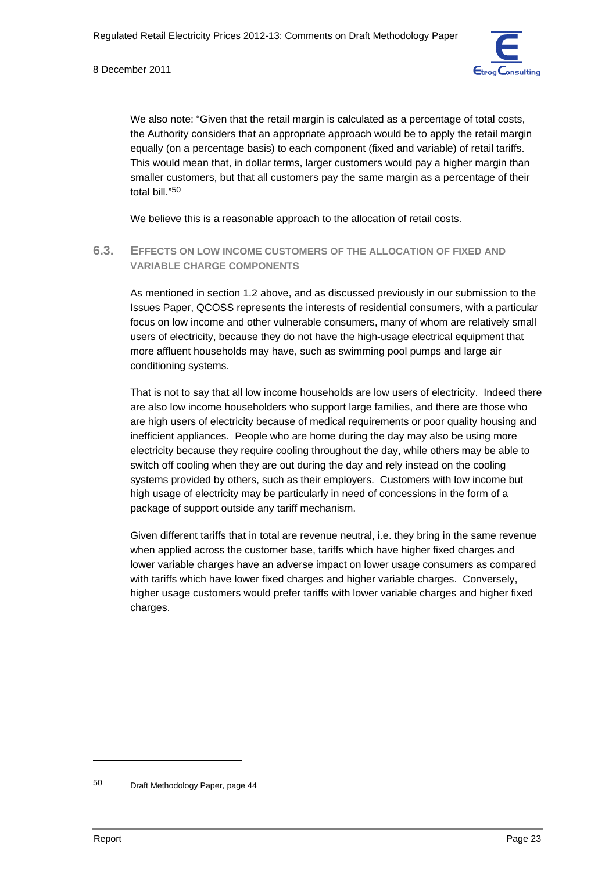

We also note: "Given that the retail margin is calculated as a percentage of total costs, the Authority considers that an appropriate approach would be to apply the retail margin equally (on a percentage basis) to each component (fixed and variable) of retail tariffs. This would mean that, in dollar terms, larger customers would pay a higher margin than smaller customers, but that all customers pay the same margin as a percentage of their total bill."50

We believe this is a reasonable approach to the allocation of retail costs.

**6.3. EFFECTS ON LOW INCOME CUSTOMERS OF THE ALLOCATION OF FIXED AND VARIABLE CHARGE COMPONENTS**

As mentioned in section 1.2 above, and as discussed previously in our submission to the Issues Paper, QCOSS represents the interests of residential consumers, with a particular focus on low income and other vulnerable consumers, many of whom are relatively small users of electricity, because they do not have the high-usage electrical equipment that more affluent households may have, such as swimming pool pumps and large air conditioning systems.

That is not to say that all low income households are low users of electricity. Indeed there are also low income householders who support large families, and there are those who are high users of electricity because of medical requirements or poor quality housing and inefficient appliances. People who are home during the day may also be using more electricity because they require cooling throughout the day, while others may be able to switch off cooling when they are out during the day and rely instead on the cooling systems provided by others, such as their employers. Customers with low income but high usage of electricity may be particularly in need of concessions in the form of a package of support outside any tariff mechanism.

Given different tariffs that in total are revenue neutral, i.e. they bring in the same revenue when applied across the customer base, tariffs which have higher fixed charges and lower variable charges have an adverse impact on lower usage consumers as compared with tariffs which have lower fixed charges and higher variable charges. Conversely, higher usage customers would prefer tariffs with lower variable charges and higher fixed charges.

<sup>50</sup> Draft Methodology Paper, page 44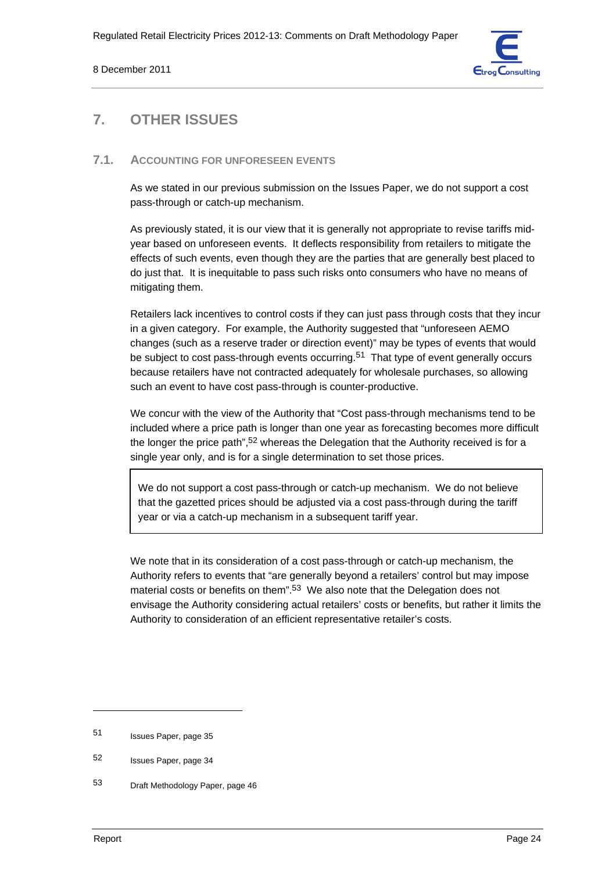

# **7. OTHER ISSUES**

## **7.1. ACCOUNTING FOR UNFORESEEN EVENTS**

As we stated in our previous submission on the Issues Paper, we do not support a cost pass-through or catch-up mechanism.

As previously stated, it is our view that it is generally not appropriate to revise tariffs midyear based on unforeseen events. It deflects responsibility from retailers to mitigate the effects of such events, even though they are the parties that are generally best placed to do just that. It is inequitable to pass such risks onto consumers who have no means of mitigating them.

Retailers lack incentives to control costs if they can just pass through costs that they incur in a given category. For example, the Authority suggested that "unforeseen AEMO changes (such as a reserve trader or direction event)" may be types of events that would be subject to cost pass-through events occurring.<sup>51</sup> That type of event generally occurs because retailers have not contracted adequately for wholesale purchases, so allowing such an event to have cost pass-through is counter-productive.

We concur with the view of the Authority that "Cost pass-through mechanisms tend to be included where a price path is longer than one year as forecasting becomes more difficult the longer the price path",<sup>52</sup> whereas the Delegation that the Authority received is for a single year only, and is for a single determination to set those prices.

We do not support a cost pass-through or catch-up mechanism. We do not believe that the gazetted prices should be adjusted via a cost pass-through during the tariff year or via a catch-up mechanism in a subsequent tariff year.

We note that in its consideration of a cost pass-through or catch-up mechanism, the Authority refers to events that "are generally beyond a retailers' control but may impose material costs or benefits on them".<sup>53</sup> We also note that the Delegation does not envisage the Authority considering actual retailers' costs or benefits, but rather it limits the Authority to consideration of an efficient representative retailer's costs.

<sup>51</sup> Issues Paper, page 35

<sup>52</sup> Issues Paper, page 34

<sup>53</sup> Draft Methodology Paper, page 46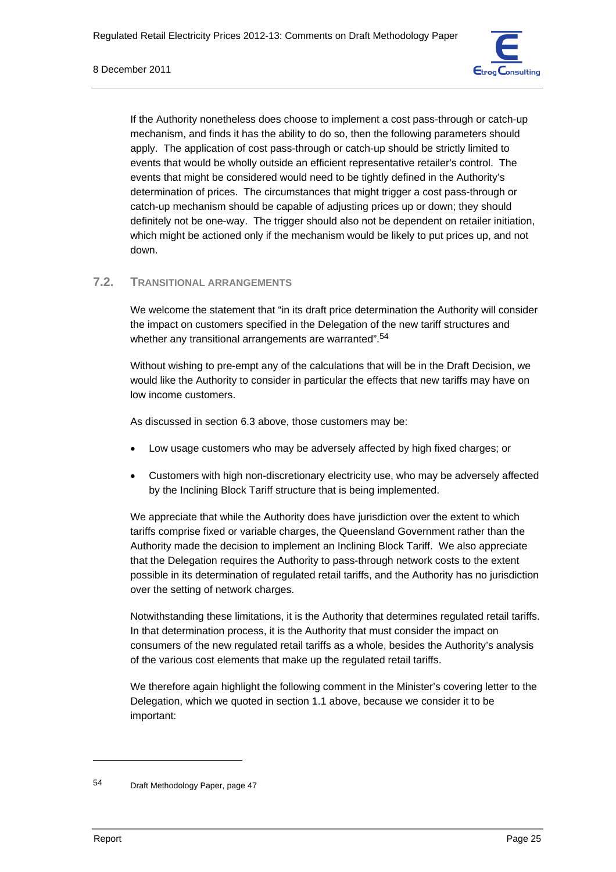

If the Authority nonetheless does choose to implement a cost pass-through or catch-up mechanism, and finds it has the ability to do so, then the following parameters should apply. The application of cost pass-through or catch-up should be strictly limited to events that would be wholly outside an efficient representative retailer's control. The events that might be considered would need to be tightly defined in the Authority's determination of prices. The circumstances that might trigger a cost pass-through or catch-up mechanism should be capable of adjusting prices up or down; they should definitely not be one-way. The trigger should also not be dependent on retailer initiation, which might be actioned only if the mechanism would be likely to put prices up, and not down.

# **7.2. TRANSITIONAL ARRANGEMENTS**

We welcome the statement that "in its draft price determination the Authority will consider the impact on customers specified in the Delegation of the new tariff structures and whether any transitional arrangements are warranted".<sup>54</sup>

Without wishing to pre-empt any of the calculations that will be in the Draft Decision, we would like the Authority to consider in particular the effects that new tariffs may have on low income customers.

As discussed in section 6.3 above, those customers may be:

- Low usage customers who may be adversely affected by high fixed charges; or
- Customers with high non-discretionary electricity use, who may be adversely affected by the Inclining Block Tariff structure that is being implemented.

We appreciate that while the Authority does have jurisdiction over the extent to which tariffs comprise fixed or variable charges, the Queensland Government rather than the Authority made the decision to implement an Inclining Block Tariff. We also appreciate that the Delegation requires the Authority to pass-through network costs to the extent possible in its determination of regulated retail tariffs, and the Authority has no jurisdiction over the setting of network charges.

Notwithstanding these limitations, it is the Authority that determines regulated retail tariffs. In that determination process, it is the Authority that must consider the impact on consumers of the new regulated retail tariffs as a whole, besides the Authority's analysis of the various cost elements that make up the regulated retail tariffs.

We therefore again highlight the following comment in the Minister's covering letter to the Delegation, which we quoted in section 1.1 above, because we consider it to be important:

<sup>54</sup> Draft Methodology Paper, page 47